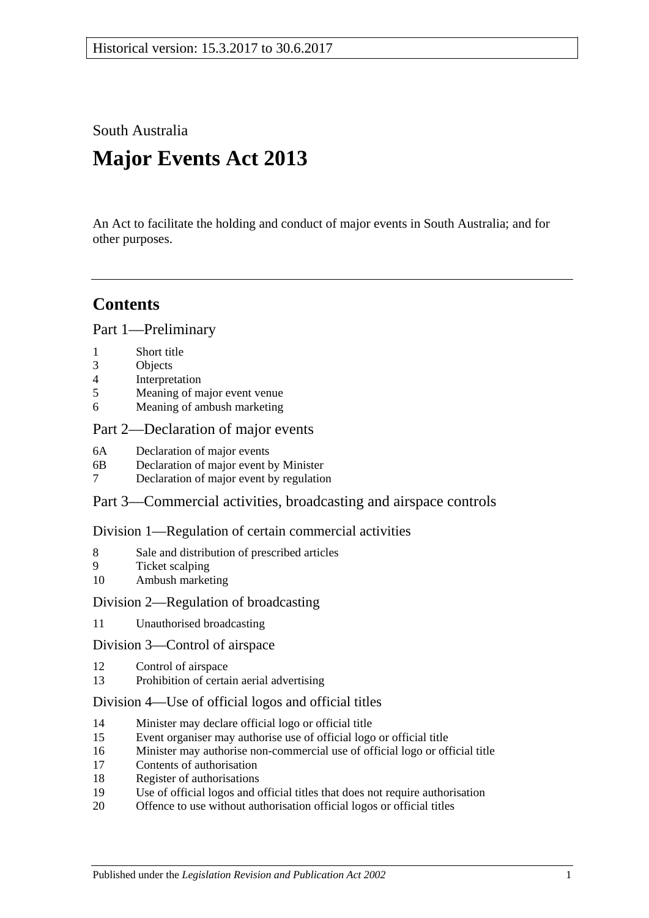South Australia

# **Major Events Act 2013**

An Act to facilitate the holding and conduct of major events in South Australia; and for other purposes.

## **Contents**

Part [1—Preliminary](#page-1-0)

- 1 [Short title](#page-1-1)
- 3 [Objects](#page-1-2)
- 4 [Interpretation](#page-1-3)
- 5 [Meaning of major event venue](#page-2-0)
- 6 [Meaning of ambush marketing](#page-3-0)

#### Part [2—Declaration of major events](#page-3-1)

- 6A [Declaration of major events](#page-3-2)
- 6B [Declaration of major event by Minister](#page-3-3)
- 7 [Declaration of major event by regulation](#page-4-0)

Part [3—Commercial activities, broadcasting and airspace controls](#page-6-0)

#### Division [1—Regulation of certain commercial activities](#page-6-1)

- 8 [Sale and distribution of prescribed articles](#page-6-2)
- 9 [Ticket scalping](#page-6-3)
- 10 [Ambush marketing](#page-7-0)

#### Division [2—Regulation of broadcasting](#page-8-0)

11 [Unauthorised broadcasting](#page-8-1)

#### Division [3—Control of airspace](#page-8-2)

- 12 [Control of airspace](#page-8-3)
- 13 [Prohibition of certain aerial advertising](#page-9-0)

## Division [4—Use of official logos and official titles](#page-9-1)

- 14 [Minister may declare official logo or official title](#page-9-2)
- 15 [Event organiser may authorise use of official logo or official title](#page-10-0)
- 16 [Minister may authorise non-commercial use of official logo or official title](#page-10-1)
- 17 [Contents of authorisation](#page-10-2)
- 18 [Register of authorisations](#page-10-3)
- 19 [Use of official logos and official titles that does not require authorisation](#page-11-0)
- 20 [Offence to use without authorisation official logos or official titles](#page-12-0)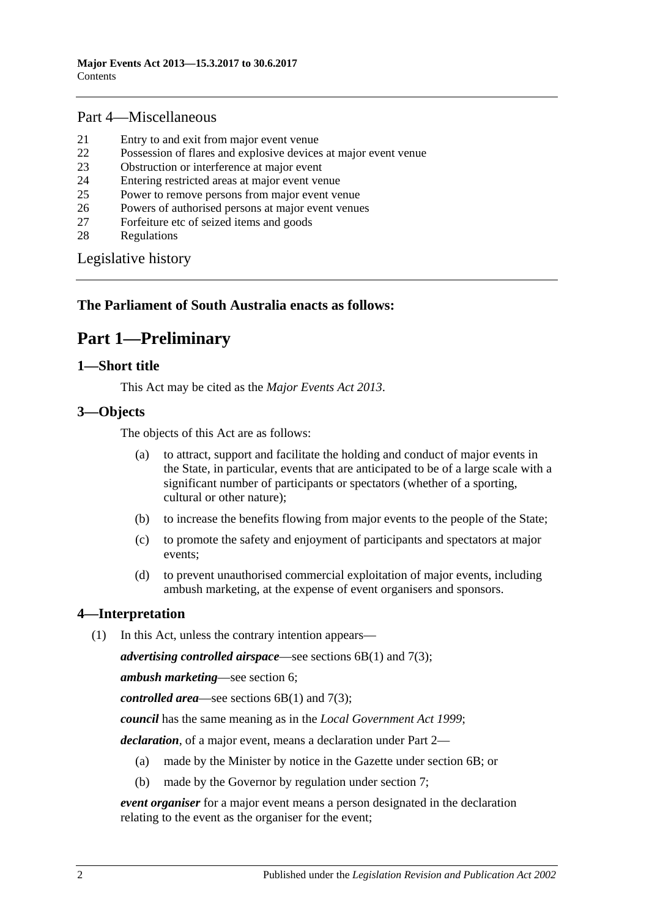## Part [4—Miscellaneous](#page-13-0)

- 21 [Entry to and exit from major event venue](#page-13-1)
- 22 [Possession of flares and explosive devices at major event venue](#page-13-2)
- 23 [Obstruction or interference at major event](#page-13-3)
- 24 [Entering restricted areas at major event venue](#page-13-4)
- 25 [Power to remove persons from major event venue](#page-14-0)
- 26 [Powers of authorised persons at major event venues](#page-14-1)
- 27 [Forfeiture etc of seized items and goods](#page-15-0)
- 28 [Regulations](#page-16-0)

[Legislative history](#page-17-0)

## <span id="page-1-0"></span>**The Parliament of South Australia enacts as follows:**

## **Part 1—Preliminary**

## <span id="page-1-1"></span>**1—Short title**

This Act may be cited as the *Major Events Act 2013*.

## <span id="page-1-2"></span>**3—Objects**

The objects of this Act are as follows:

- (a) to attract, support and facilitate the holding and conduct of major events in the State, in particular, events that are anticipated to be of a large scale with a significant number of participants or spectators (whether of a sporting, cultural or other nature);
- (b) to increase the benefits flowing from major events to the people of the State;
- (c) to promote the safety and enjoyment of participants and spectators at major events;
- (d) to prevent unauthorised commercial exploitation of major events, including ambush marketing, at the expense of event organisers and sponsors.

## <span id="page-1-3"></span>**4—Interpretation**

(1) In this Act, unless the contrary intention appears—

*advertising controlled airspace*—see [sections](#page-3-4) 6B(1) and [7\(3\);](#page-5-0)

*ambush marketing*—see [section](#page-3-0) 6;

*controlled area*—see [sections](#page-3-4) 6B(1) and [7\(3\);](#page-5-0)

*council* has the same meaning as in the *[Local Government Act](http://www.legislation.sa.gov.au/index.aspx?action=legref&type=act&legtitle=Local%20Government%20Act%201999) 1999*;

*declaration*, of a major event, means a declaration under [Part](#page-3-1) 2—

- (a) made by the Minister by notice in the Gazette under [section](#page-3-3) 6B; or
- (b) made by the Governor by regulation under [section](#page-4-0) 7;

*event organiser* for a major event means a person designated in the declaration relating to the event as the organiser for the event;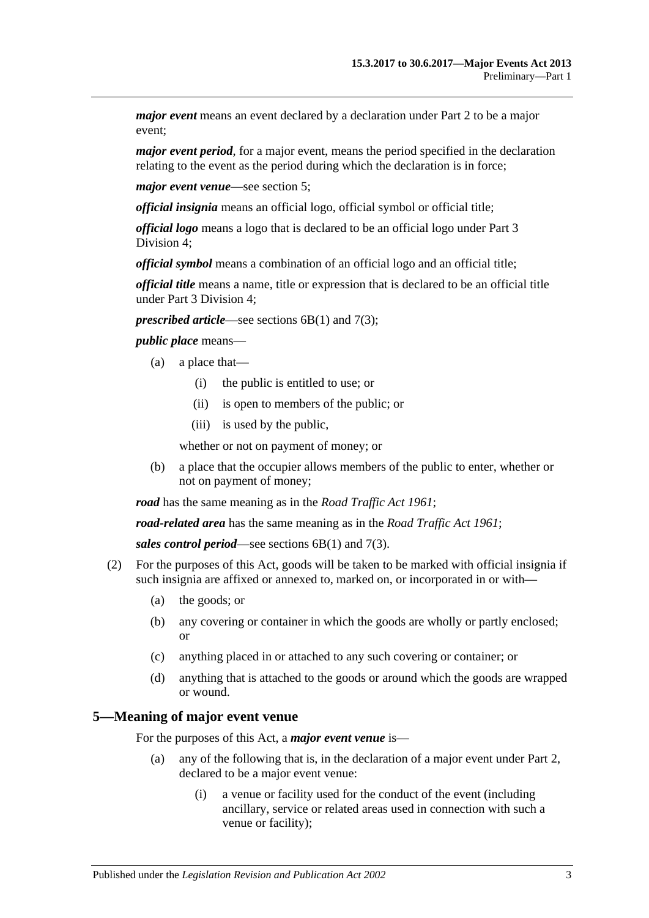*major event* means an event declared by a declaration under [Part](#page-3-1) 2 to be a major event;

*major event period*, for a major event, means the period specified in the declaration relating to the event as the period during which the declaration is in force;

*major event venue*—see [section](#page-2-0) 5;

*official insignia* means an official logo, official symbol or official title;

*official logo* means a logo that is declared to be an official logo under [Part](#page-9-1) 3 [Division](#page-9-1) 4;

*official symbol* means a combination of an official logo and an official title;

*official title* means a name, title or expression that is declared to be an official title under Part [3 Division](#page-9-1) 4;

*prescribed article—see [sections](#page-3-4) 6B(1) and [7\(3\);](#page-5-0)* 

*public place* means—

- (a) a place that—
	- (i) the public is entitled to use; or
	- (ii) is open to members of the public; or
	- (iii) is used by the public,

whether or not on payment of money; or

(b) a place that the occupier allows members of the public to enter, whether or not on payment of money;

*road* has the same meaning as in the *[Road Traffic Act](http://www.legislation.sa.gov.au/index.aspx?action=legref&type=act&legtitle=Road%20Traffic%20Act%201961) 1961*;

*road-related area* has the same meaning as in the *[Road Traffic Act](http://www.legislation.sa.gov.au/index.aspx?action=legref&type=act&legtitle=Road%20Traffic%20Act%201961) 1961*;

*sales control period*—see [sections](#page-3-4) 6B(1) and [7\(3\).](#page-5-0)

- (2) For the purposes of this Act, goods will be taken to be marked with official insignia if such insignia are affixed or annexed to, marked on, or incorporated in or with—
	- (a) the goods; or
	- (b) any covering or container in which the goods are wholly or partly enclosed; or
	- (c) anything placed in or attached to any such covering or container; or
	- (d) anything that is attached to the goods or around which the goods are wrapped or wound.

#### <span id="page-2-0"></span>**5—Meaning of major event venue**

For the purposes of this Act, a *major event venue* is—

- (a) any of the following that is, in the declaration of a major event under [Part](#page-3-1) 2, declared to be a major event venue:
	- (i) a venue or facility used for the conduct of the event (including ancillary, service or related areas used in connection with such a venue or facility);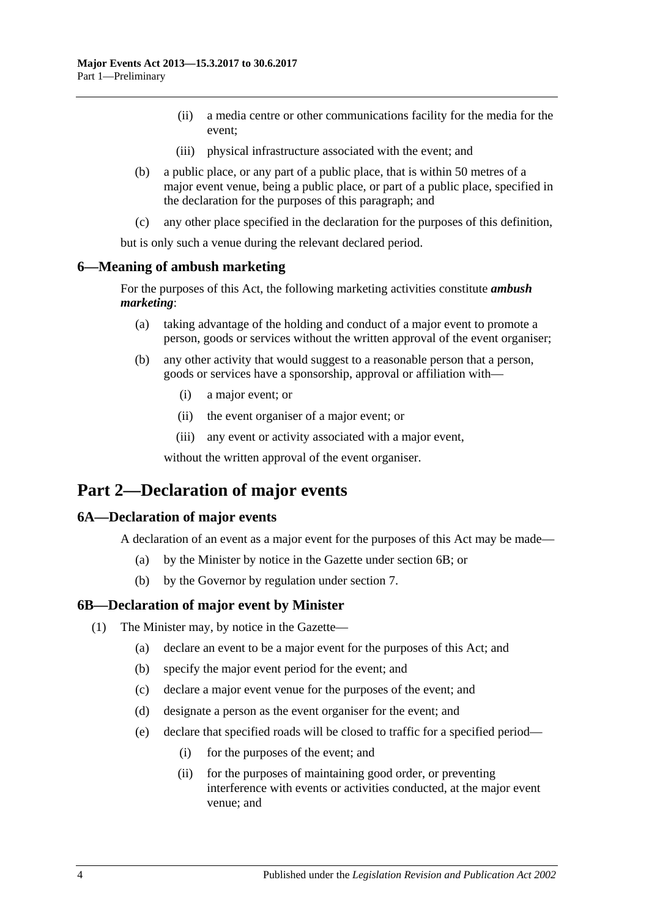- (ii) a media centre or other communications facility for the media for the event;
- (iii) physical infrastructure associated with the event; and
- (b) a public place, or any part of a public place, that is within 50 metres of a major event venue, being a public place, or part of a public place, specified in the declaration for the purposes of this paragraph; and
- (c) any other place specified in the declaration for the purposes of this definition,

but is only such a venue during the relevant declared period.

#### <span id="page-3-0"></span>**6—Meaning of ambush marketing**

For the purposes of this Act, the following marketing activities constitute *ambush marketing*:

- (a) taking advantage of the holding and conduct of a major event to promote a person, goods or services without the written approval of the event organiser;
- (b) any other activity that would suggest to a reasonable person that a person, goods or services have a sponsorship, approval or affiliation with—
	- (i) a major event; or
	- (ii) the event organiser of a major event; or
	- (iii) any event or activity associated with a major event,

without the written approval of the event organiser.

## <span id="page-3-1"></span>**Part 2—Declaration of major events**

#### <span id="page-3-2"></span>**6A—Declaration of major events**

A declaration of an event as a major event for the purposes of this Act may be made—

- (a) by the Minister by notice in the Gazette under [section](#page-3-3) 6B; or
- (b) by the Governor by regulation under [section](#page-4-0) 7.

#### <span id="page-3-4"></span><span id="page-3-3"></span>**6B—Declaration of major event by Minister**

- <span id="page-3-5"></span>(1) The Minister may, by notice in the Gazette—
	- (a) declare an event to be a major event for the purposes of this Act; and
	- (b) specify the major event period for the event; and
	- (c) declare a major event venue for the purposes of the event; and
	- (d) designate a person as the event organiser for the event; and
	- (e) declare that specified roads will be closed to traffic for a specified period—
		- (i) for the purposes of the event; and
		- (ii) for the purposes of maintaining good order, or preventing interference with events or activities conducted, at the major event venue; and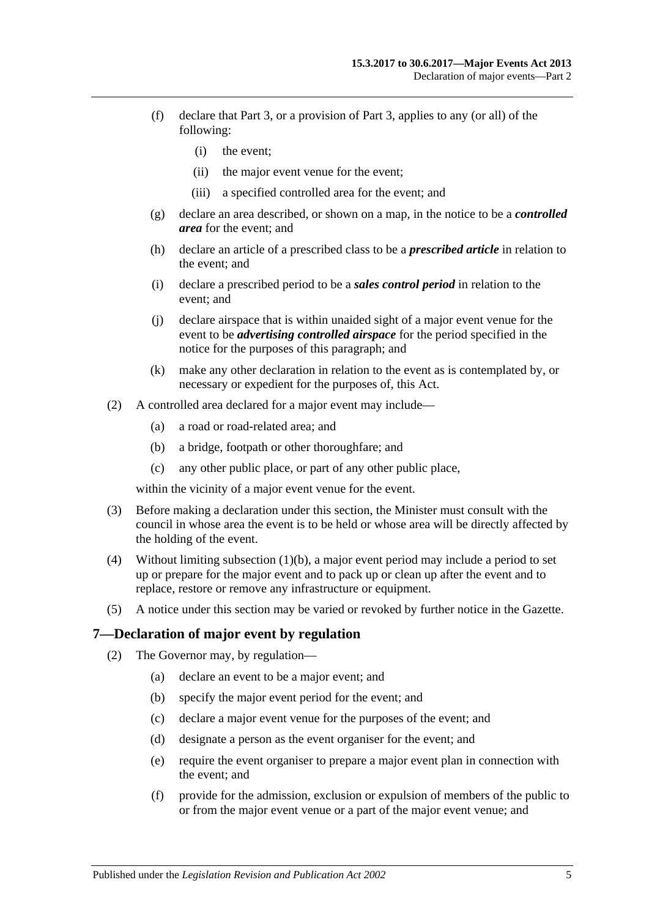- (f) declare that [Part](#page-6-0) 3, or a provision of [Part](#page-6-0) 3, applies to any (or all) of the following:
	- (i) the event;
	- (ii) the major event venue for the event;
	- (iii) a specified controlled area for the event; and
- (g) declare an area described, or shown on a map, in the notice to be a *controlled area* for the event; and
- (h) declare an article of a prescribed class to be a *prescribed article* in relation to the event; and
- (i) declare a prescribed period to be a *sales control period* in relation to the event; and
- (j) declare airspace that is within unaided sight of a major event venue for the event to be *advertising controlled airspace* for the period specified in the notice for the purposes of this paragraph; and
- (k) make any other declaration in relation to the event as is contemplated by, or necessary or expedient for the purposes of, this Act.
- (2) A controlled area declared for a major event may include—
	- (a) a road or road-related area; and
	- (b) a bridge, footpath or other thoroughfare; and
	- (c) any other public place, or part of any other public place,

within the vicinity of a major event venue for the event.

- (3) Before making a declaration under this section, the Minister must consult with the council in whose area the event is to be held or whose area will be directly affected by the holding of the event.
- (4) Without limiting [subsection](#page-3-5) (1)(b), a major event period may include a period to set up or prepare for the major event and to pack up or clean up after the event and to replace, restore or remove any infrastructure or equipment.
- (5) A notice under this section may be varied or revoked by further notice in the Gazette.

#### <span id="page-4-0"></span>**7—Declaration of major event by regulation**

- <span id="page-4-1"></span>(2) The Governor may, by regulation—
	- (a) declare an event to be a major event; and
	- (b) specify the major event period for the event; and
	- (c) declare a major event venue for the purposes of the event; and
	- (d) designate a person as the event organiser for the event; and
	- (e) require the event organiser to prepare a major event plan in connection with the event; and
	- (f) provide for the admission, exclusion or expulsion of members of the public to or from the major event venue or a part of the major event venue; and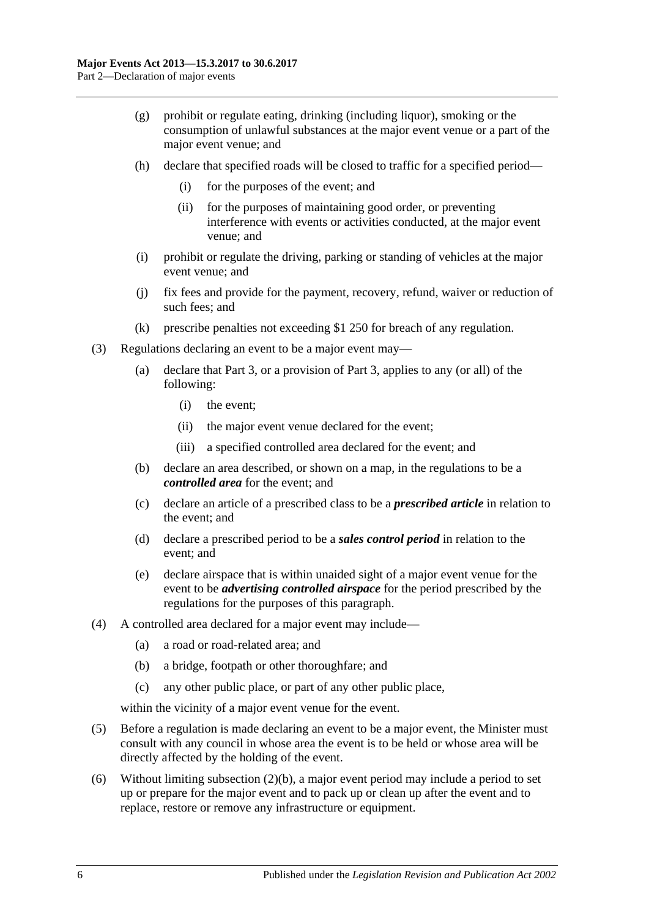- (g) prohibit or regulate eating, drinking (including liquor), smoking or the consumption of unlawful substances at the major event venue or a part of the major event venue; and
- (h) declare that specified roads will be closed to traffic for a specified period—
	- (i) for the purposes of the event; and
	- (ii) for the purposes of maintaining good order, or preventing interference with events or activities conducted, at the major event venue; and
- (i) prohibit or regulate the driving, parking or standing of vehicles at the major event venue; and
- (j) fix fees and provide for the payment, recovery, refund, waiver or reduction of such fees; and
- (k) prescribe penalties not exceeding \$1 250 for breach of any regulation.
- <span id="page-5-0"></span>(3) Regulations declaring an event to be a major event may—
	- (a) declare that [Part](#page-6-0) 3, or a provision of [Part](#page-6-0) 3, applies to any (or all) of the following:
		- (i) the event;
		- (ii) the major event venue declared for the event;
		- (iii) a specified controlled area declared for the event; and
	- (b) declare an area described, or shown on a map, in the regulations to be a *controlled area* for the event; and
	- (c) declare an article of a prescribed class to be a *prescribed article* in relation to the event; and
	- (d) declare a prescribed period to be a *sales control period* in relation to the event; and
	- (e) declare airspace that is within unaided sight of a major event venue for the event to be *advertising controlled airspace* for the period prescribed by the regulations for the purposes of this paragraph.
- (4) A controlled area declared for a major event may include—
	- (a) a road or road-related area; and
	- (b) a bridge, footpath or other thoroughfare; and
	- (c) any other public place, or part of any other public place,

within the vicinity of a major event venue for the event.

- (5) Before a regulation is made declaring an event to be a major event, the Minister must consult with any council in whose area the event is to be held or whose area will be directly affected by the holding of the event.
- (6) Without limiting [subsection](#page-4-1)  $(2)(b)$ , a major event period may include a period to set up or prepare for the major event and to pack up or clean up after the event and to replace, restore or remove any infrastructure or equipment.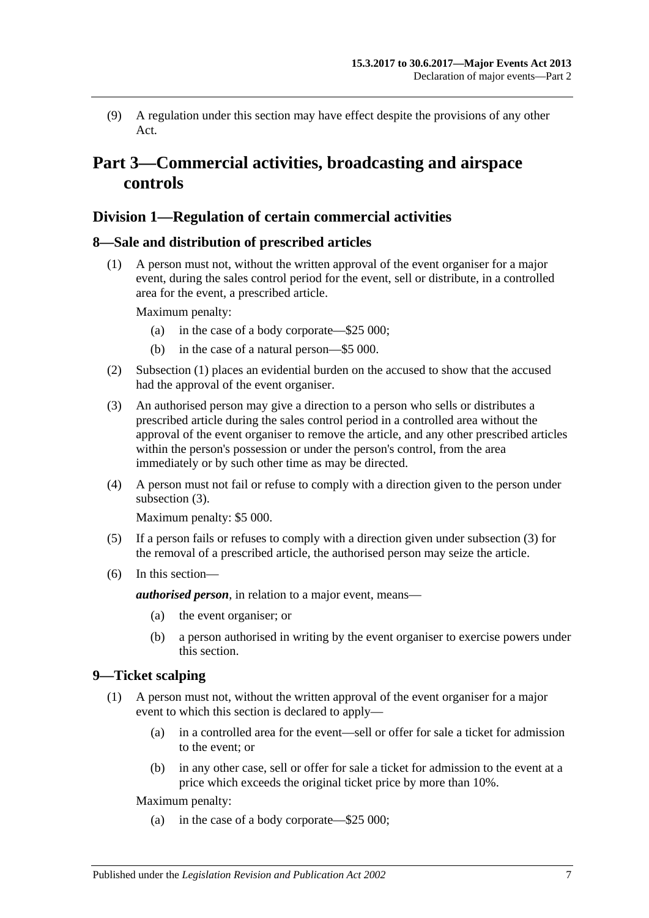(9) A regulation under this section may have effect despite the provisions of any other Act.

## <span id="page-6-0"></span>**Part 3—Commercial activities, broadcasting and airspace controls**

## <span id="page-6-1"></span>**Division 1—Regulation of certain commercial activities**

#### <span id="page-6-4"></span><span id="page-6-2"></span>**8—Sale and distribution of prescribed articles**

(1) A person must not, without the written approval of the event organiser for a major event, during the sales control period for the event, sell or distribute, in a controlled area for the event, a prescribed article.

Maximum penalty:

- (a) in the case of a body corporate—\$25 000;
- (b) in the case of a natural person—\$5 000.
- (2) [Subsection \(1\)](#page-6-4) places an evidential burden on the accused to show that the accused had the approval of the event organiser.
- <span id="page-6-5"></span>(3) An authorised person may give a direction to a person who sells or distributes a prescribed article during the sales control period in a controlled area without the approval of the event organiser to remove the article, and any other prescribed articles within the person's possession or under the person's control, from the area immediately or by such other time as may be directed.
- (4) A person must not fail or refuse to comply with a direction given to the person under [subsection](#page-6-5) (3).

Maximum penalty: \$5 000.

- (5) If a person fails or refuses to comply with a direction given under [subsection](#page-6-5) (3) for the removal of a prescribed article, the authorised person may seize the article.
- (6) In this section—

*authorised person*, in relation to a major event, means—

- (a) the event organiser; or
- (b) a person authorised in writing by the event organiser to exercise powers under this section.

## <span id="page-6-6"></span><span id="page-6-3"></span>**9—Ticket scalping**

- (1) A person must not, without the written approval of the event organiser for a major event to which this section is declared to apply—
	- (a) in a controlled area for the event—sell or offer for sale a ticket for admission to the event; or
	- (b) in any other case, sell or offer for sale a ticket for admission to the event at a price which exceeds the original ticket price by more than 10%.

Maximum penalty:

(a) in the case of a body corporate—\$25 000;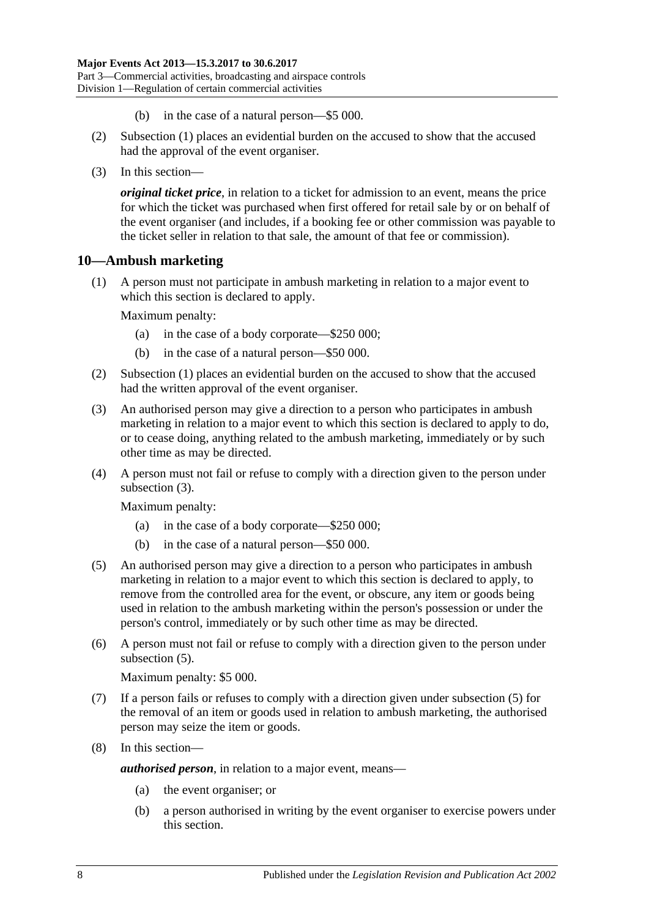- (b) in the case of a natural person—\$5 000.
- (2) [Subsection](#page-6-6) (1) places an evidential burden on the accused to show that the accused had the approval of the event organiser.
- (3) In this section—

*original ticket price*, in relation to a ticket for admission to an event, means the price for which the ticket was purchased when first offered for retail sale by or on behalf of the event organiser (and includes, if a booking fee or other commission was payable to the ticket seller in relation to that sale, the amount of that fee or commission).

## <span id="page-7-1"></span><span id="page-7-0"></span>**10—Ambush marketing**

(1) A person must not participate in ambush marketing in relation to a major event to which this section is declared to apply.

Maximum penalty:

- (a) in the case of a body corporate—\$250 000;
- (b) in the case of a natural person—\$50 000.
- (2) [Subsection \(1\)](#page-7-1) places an evidential burden on the accused to show that the accused had the written approval of the event organiser.
- <span id="page-7-2"></span>(3) An authorised person may give a direction to a person who participates in ambush marketing in relation to a major event to which this section is declared to apply to do, or to cease doing, anything related to the ambush marketing, immediately or by such other time as may be directed.
- (4) A person must not fail or refuse to comply with a direction given to the person under [subsection](#page-7-2) (3).

Maximum penalty:

- (a) in the case of a body corporate—\$250 000;
- (b) in the case of a natural person—\$50 000.
- <span id="page-7-3"></span>(5) An authorised person may give a direction to a person who participates in ambush marketing in relation to a major event to which this section is declared to apply, to remove from the controlled area for the event, or obscure, any item or goods being used in relation to the ambush marketing within the person's possession or under the person's control, immediately or by such other time as may be directed.
- (6) A person must not fail or refuse to comply with a direction given to the person under [subsection](#page-7-3)  $(5)$ .

Maximum penalty: \$5 000.

- (7) If a person fails or refuses to comply with a direction given under [subsection](#page-7-3) (5) for the removal of an item or goods used in relation to ambush marketing, the authorised person may seize the item or goods.
- (8) In this section—

*authorised person*, in relation to a major event, means—

- (a) the event organiser; or
- (b) a person authorised in writing by the event organiser to exercise powers under this section.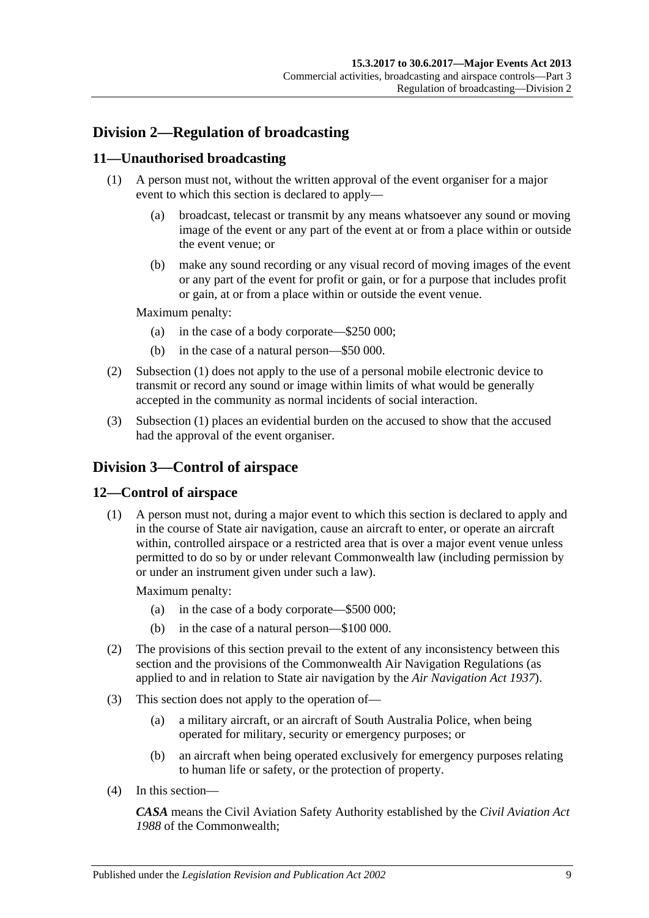## <span id="page-8-0"></span>**Division 2—Regulation of broadcasting**

## <span id="page-8-4"></span><span id="page-8-1"></span>**11—Unauthorised broadcasting**

- (1) A person must not, without the written approval of the event organiser for a major event to which this section is declared to apply—
	- (a) broadcast, telecast or transmit by any means whatsoever any sound or moving image of the event or any part of the event at or from a place within or outside the event venue; or
	- (b) make any sound recording or any visual record of moving images of the event or any part of the event for profit or gain, or for a purpose that includes profit or gain, at or from a place within or outside the event venue.

Maximum penalty:

- (a) in the case of a body corporate—\$250 000;
- (b) in the case of a natural person—\$50 000.
- (2) [Subsection \(1\)](#page-8-4) does not apply to the use of a personal mobile electronic device to transmit or record any sound or image within limits of what would be generally accepted in the community as normal incidents of social interaction.
- (3) [Subsection \(1\)](#page-8-4) places an evidential burden on the accused to show that the accused had the approval of the event organiser.

## <span id="page-8-2"></span>**Division 3—Control of airspace**

## <span id="page-8-3"></span>**12—Control of airspace**

(1) A person must not, during a major event to which this section is declared to apply and in the course of State air navigation, cause an aircraft to enter, or operate an aircraft within, controlled airspace or a restricted area that is over a major event venue unless permitted to do so by or under relevant Commonwealth law (including permission by or under an instrument given under such a law).

Maximum penalty:

- (a) in the case of a body corporate—\$500 000;
- (b) in the case of a natural person—\$100 000.
- (2) The provisions of this section prevail to the extent of any inconsistency between this section and the provisions of the Commonwealth Air Navigation Regulations (as applied to and in relation to State air navigation by the *[Air Navigation Act](http://www.legislation.sa.gov.au/index.aspx?action=legref&type=act&legtitle=Air%20Navigation%20Act%201937) 1937*).
- (3) This section does not apply to the operation of—
	- (a) a military aircraft, or an aircraft of South Australia Police, when being operated for military, security or emergency purposes; or
	- (b) an aircraft when being operated exclusively for emergency purposes relating to human life or safety, or the protection of property.
- (4) In this section—

*CASA* means the Civil Aviation Safety Authority established by the *Civil Aviation Act 1988* of the Commonwealth;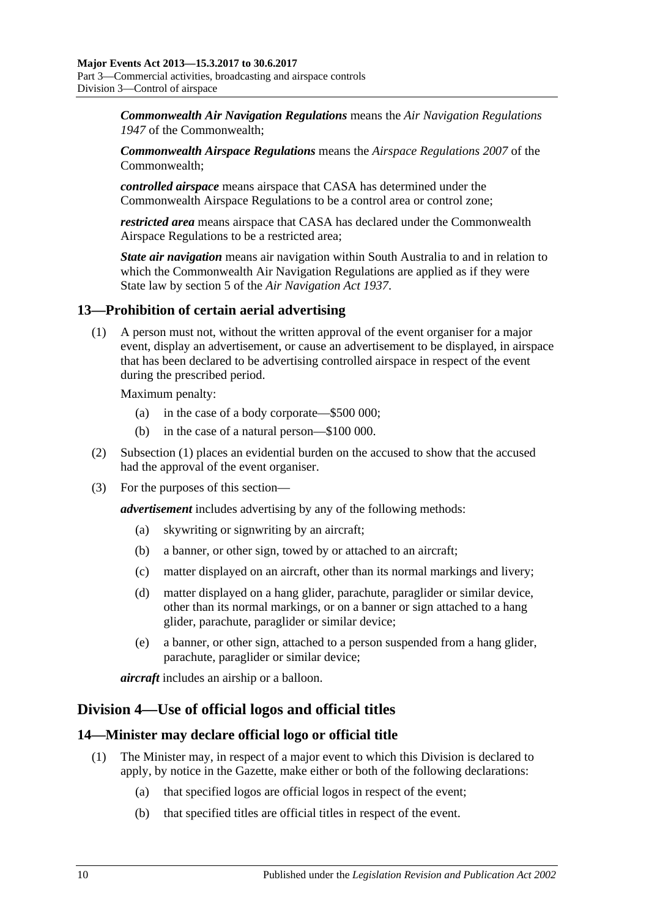*Commonwealth Air Navigation Regulations* means the *Air Navigation Regulations 1947* of the Commonwealth;

*Commonwealth Airspace Regulations* means the *Airspace Regulations 2007* of the Commonwealth;

*controlled airspace* means airspace that CASA has determined under the Commonwealth Airspace Regulations to be a control area or control zone;

*restricted area* means airspace that CASA has declared under the Commonwealth Airspace Regulations to be a restricted area;

*State air navigation* means air navigation within South Australia to and in relation to which the Commonwealth Air Navigation Regulations are applied as if they were State law by section 5 of the *[Air Navigation Act](http://www.legislation.sa.gov.au/index.aspx?action=legref&type=act&legtitle=Air%20Navigation%20Act%201937) 1937*.

## <span id="page-9-3"></span><span id="page-9-0"></span>**13—Prohibition of certain aerial advertising**

(1) A person must not, without the written approval of the event organiser for a major event, display an advertisement, or cause an advertisement to be displayed, in airspace that has been declared to be advertising controlled airspace in respect of the event during the prescribed period.

Maximum penalty:

- (a) in the case of a body corporate—\$500 000;
- (b) in the case of a natural person—\$100 000.
- (2) [Subsection \(1\)](#page-9-3) places an evidential burden on the accused to show that the accused had the approval of the event organiser.
- (3) For the purposes of this section—

*advertisement* includes advertising by any of the following methods:

- (a) skywriting or signwriting by an aircraft;
- (b) a banner, or other sign, towed by or attached to an aircraft;
- (c) matter displayed on an aircraft, other than its normal markings and livery;
- (d) matter displayed on a hang glider, parachute, paraglider or similar device, other than its normal markings, or on a banner or sign attached to a hang glider, parachute, paraglider or similar device;
- (e) a banner, or other sign, attached to a person suspended from a hang glider, parachute, paraglider or similar device;

*aircraft* includes an airship or a balloon.

## <span id="page-9-1"></span>**Division 4—Use of official logos and official titles**

## <span id="page-9-4"></span><span id="page-9-2"></span>**14—Minister may declare official logo or official title**

- (1) The Minister may, in respect of a major event to which this Division is declared to apply, by notice in the Gazette, make either or both of the following declarations:
	- (a) that specified logos are official logos in respect of the event;
	- (b) that specified titles are official titles in respect of the event.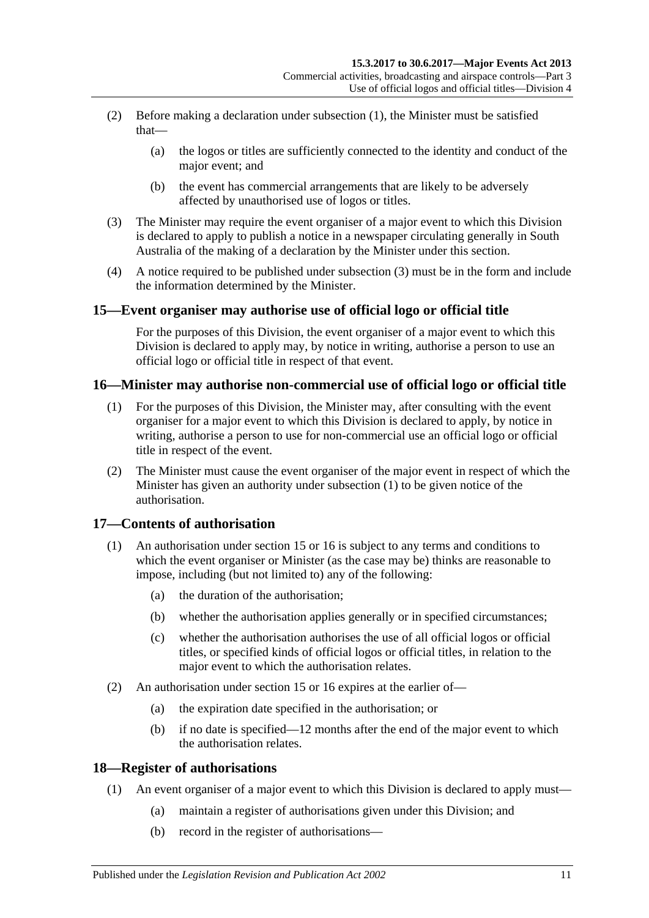- (2) Before making a declaration under [subsection](#page-9-4) (1), the Minister must be satisfied that—
	- (a) the logos or titles are sufficiently connected to the identity and conduct of the major event; and
	- (b) the event has commercial arrangements that are likely to be adversely affected by unauthorised use of logos or titles.
- <span id="page-10-4"></span>(3) The Minister may require the event organiser of a major event to which this Division is declared to apply to publish a notice in a newspaper circulating generally in South Australia of the making of a declaration by the Minister under this section.
- (4) A notice required to be published under [subsection](#page-10-4) (3) must be in the form and include the information determined by the Minister.

## <span id="page-10-0"></span>**15—Event organiser may authorise use of official logo or official title**

For the purposes of this Division, the event organiser of a major event to which this Division is declared to apply may, by notice in writing, authorise a person to use an official logo or official title in respect of that event.

## <span id="page-10-5"></span><span id="page-10-1"></span>**16—Minister may authorise non-commercial use of official logo or official title**

- (1) For the purposes of this Division, the Minister may, after consulting with the event organiser for a major event to which this Division is declared to apply, by notice in writing, authorise a person to use for non-commercial use an official logo or official title in respect of the event.
- (2) The Minister must cause the event organiser of the major event in respect of which the Minister has given an authority under [subsection](#page-10-5) (1) to be given notice of the authorisation.

## <span id="page-10-2"></span>**17—Contents of authorisation**

- (1) An authorisation under [section](#page-10-0) 15 or [16](#page-10-1) is subject to any terms and conditions to which the event organiser or Minister (as the case may be) thinks are reasonable to impose, including (but not limited to) any of the following:
	- (a) the duration of the authorisation;
	- (b) whether the authorisation applies generally or in specified circumstances;
	- (c) whether the authorisation authorises the use of all official logos or official titles, or specified kinds of official logos or official titles, in relation to the major event to which the authorisation relates.
- (2) An authorisation under [section](#page-10-0) 15 or [16](#page-10-1) expires at the earlier of—
	- (a) the expiration date specified in the authorisation; or
	- (b) if no date is specified—12 months after the end of the major event to which the authorisation relates.

## <span id="page-10-3"></span>**18—Register of authorisations**

- (1) An event organiser of a major event to which this Division is declared to apply must—
	- (a) maintain a register of authorisations given under this Division; and
	- (b) record in the register of authorisations—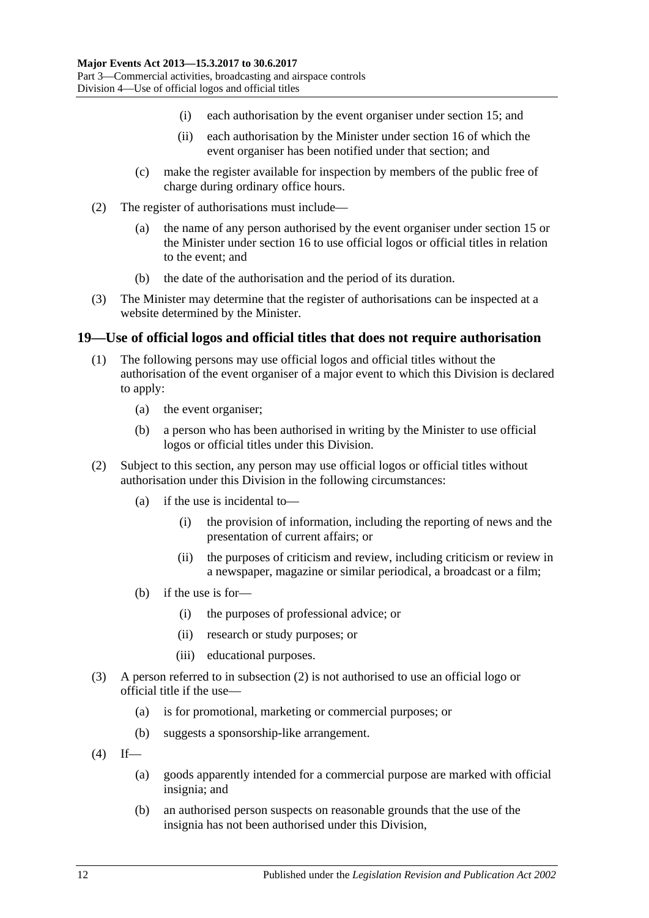- (i) each authorisation by the event organiser under [section](#page-10-0) 15; and
- (ii) each authorisation by the Minister under [section](#page-10-1) 16 of which the event organiser has been notified under that section; and
- (c) make the register available for inspection by members of the public free of charge during ordinary office hours.
- (2) The register of authorisations must include—
	- (a) the name of any person authorised by the event organiser under [section](#page-10-0) 15 or the Minister under [section](#page-10-1) 16 to use official logos or official titles in relation to the event; and
	- (b) the date of the authorisation and the period of its duration.
- (3) The Minister may determine that the register of authorisations can be inspected at a website determined by the Minister.

#### <span id="page-11-0"></span>**19—Use of official logos and official titles that does not require authorisation**

- (1) The following persons may use official logos and official titles without the authorisation of the event organiser of a major event to which this Division is declared to apply:
	- (a) the event organiser;
	- (b) a person who has been authorised in writing by the Minister to use official logos or official titles under this Division.
- <span id="page-11-1"></span>(2) Subject to this section, any person may use official logos or official titles without authorisation under this Division in the following circumstances:
	- (a) if the use is incidental to—
		- (i) the provision of information, including the reporting of news and the presentation of current affairs; or
		- (ii) the purposes of criticism and review, including criticism or review in a newspaper, magazine or similar periodical, a broadcast or a film;
	- (b) if the use is for—
		- (i) the purposes of professional advice; or
		- (ii) research or study purposes; or
		- (iii) educational purposes.
- (3) A person referred to in [subsection](#page-11-1) (2) is not authorised to use an official logo or official title if the use—
	- (a) is for promotional, marketing or commercial purposes; or
	- (b) suggests a sponsorship-like arrangement.
- $(4)$  If—
	- (a) goods apparently intended for a commercial purpose are marked with official insignia; and
	- (b) an authorised person suspects on reasonable grounds that the use of the insignia has not been authorised under this Division,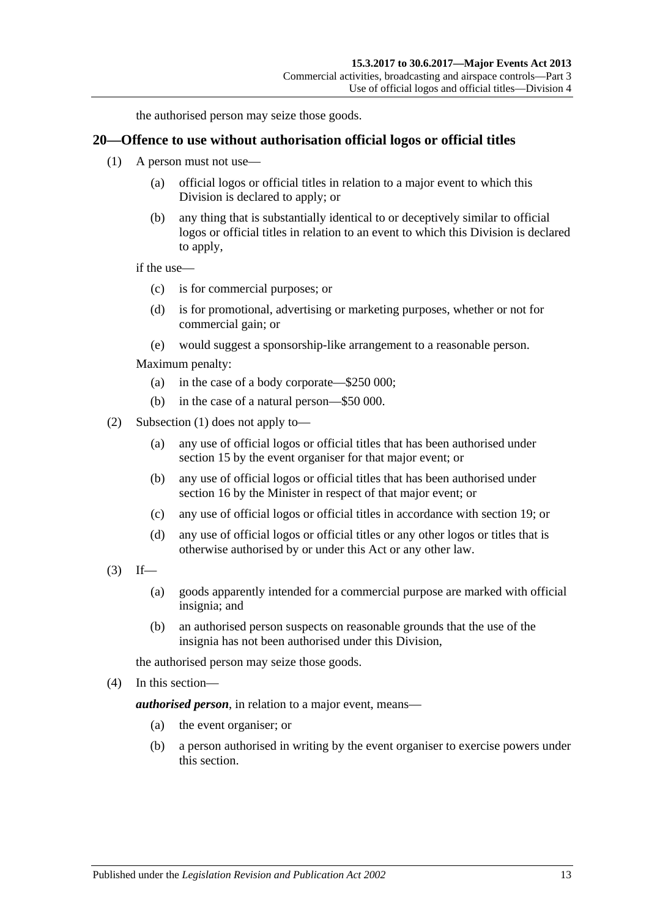the authorised person may seize those goods.

#### <span id="page-12-1"></span><span id="page-12-0"></span>**20—Offence to use without authorisation official logos or official titles**

- (1) A person must not use—
	- (a) official logos or official titles in relation to a major event to which this Division is declared to apply; or
	- (b) any thing that is substantially identical to or deceptively similar to official logos or official titles in relation to an event to which this Division is declared to apply,

if the use—

- (c) is for commercial purposes; or
- (d) is for promotional, advertising or marketing purposes, whether or not for commercial gain; or
- (e) would suggest a sponsorship-like arrangement to a reasonable person.

Maximum penalty:

- (a) in the case of a body corporate—\$250 000;
- (b) in the case of a natural person—\$50 000.
- (2) [Subsection \(1\)](#page-12-1) does not apply to—
	- (a) any use of official logos or official titles that has been authorised under [section](#page-10-0) 15 by the event organiser for that major event; or
	- (b) any use of official logos or official titles that has been authorised under [section](#page-10-1) 16 by the Minister in respect of that major event; or
	- (c) any use of official logos or official titles in accordance with [section](#page-11-0) 19; or
	- (d) any use of official logos or official titles or any other logos or titles that is otherwise authorised by or under this Act or any other law.
- $(3)$  If—
	- (a) goods apparently intended for a commercial purpose are marked with official insignia; and
	- (b) an authorised person suspects on reasonable grounds that the use of the insignia has not been authorised under this Division,

the authorised person may seize those goods.

(4) In this section—

*authorised person*, in relation to a major event, means—

- (a) the event organiser; or
- (b) a person authorised in writing by the event organiser to exercise powers under this section.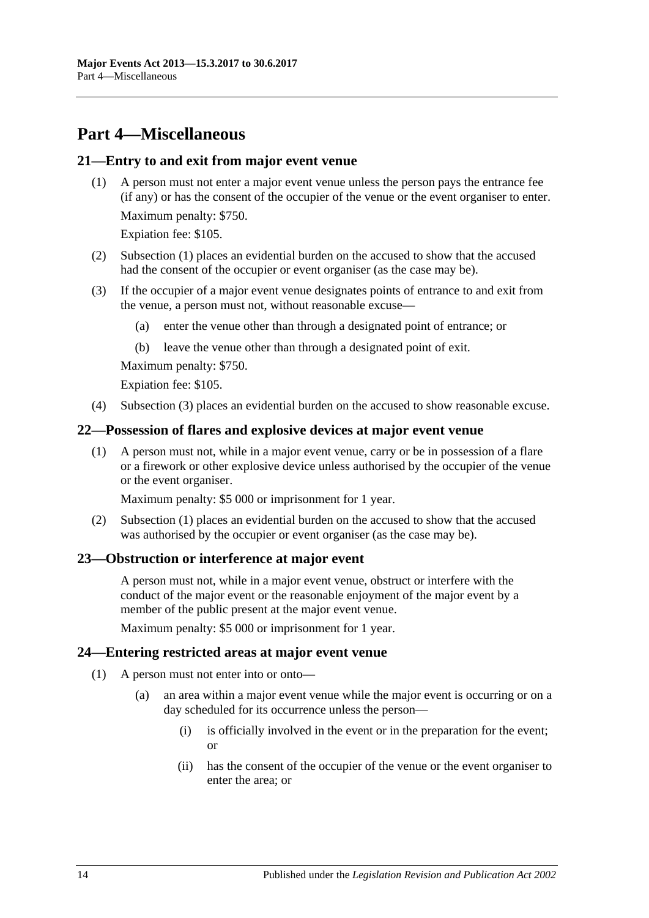## <span id="page-13-0"></span>**Part 4—Miscellaneous**

#### <span id="page-13-5"></span><span id="page-13-1"></span>**21—Entry to and exit from major event venue**

(1) A person must not enter a major event venue unless the person pays the entrance fee (if any) or has the consent of the occupier of the venue or the event organiser to enter.

Maximum penalty: \$750.

Expiation fee: \$105.

- (2) [Subsection \(1\)](#page-13-5) places an evidential burden on the accused to show that the accused had the consent of the occupier or event organiser (as the case may be).
- <span id="page-13-6"></span>(3) If the occupier of a major event venue designates points of entrance to and exit from the venue, a person must not, without reasonable excuse—
	- (a) enter the venue other than through a designated point of entrance; or
	- (b) leave the venue other than through a designated point of exit.

Maximum penalty: \$750.

Expiation fee: \$105.

(4) [Subsection](#page-13-6) (3) places an evidential burden on the accused to show reasonable excuse.

#### <span id="page-13-7"></span><span id="page-13-2"></span>**22—Possession of flares and explosive devices at major event venue**

(1) A person must not, while in a major event venue, carry or be in possession of a flare or a firework or other explosive device unless authorised by the occupier of the venue or the event organiser.

Maximum penalty: \$5 000 or imprisonment for 1 year.

(2) [Subsection \(1\)](#page-13-7) places an evidential burden on the accused to show that the accused was authorised by the occupier or event organiser (as the case may be).

#### <span id="page-13-3"></span>**23—Obstruction or interference at major event**

A person must not, while in a major event venue, obstruct or interfere with the conduct of the major event or the reasonable enjoyment of the major event by a member of the public present at the major event venue.

Maximum penalty: \$5 000 or imprisonment for 1 year.

#### <span id="page-13-8"></span><span id="page-13-4"></span>**24—Entering restricted areas at major event venue**

- (1) A person must not enter into or onto—
	- (a) an area within a major event venue while the major event is occurring or on a day scheduled for its occurrence unless the person—
		- (i) is officially involved in the event or in the preparation for the event; or
		- (ii) has the consent of the occupier of the venue or the event organiser to enter the area; or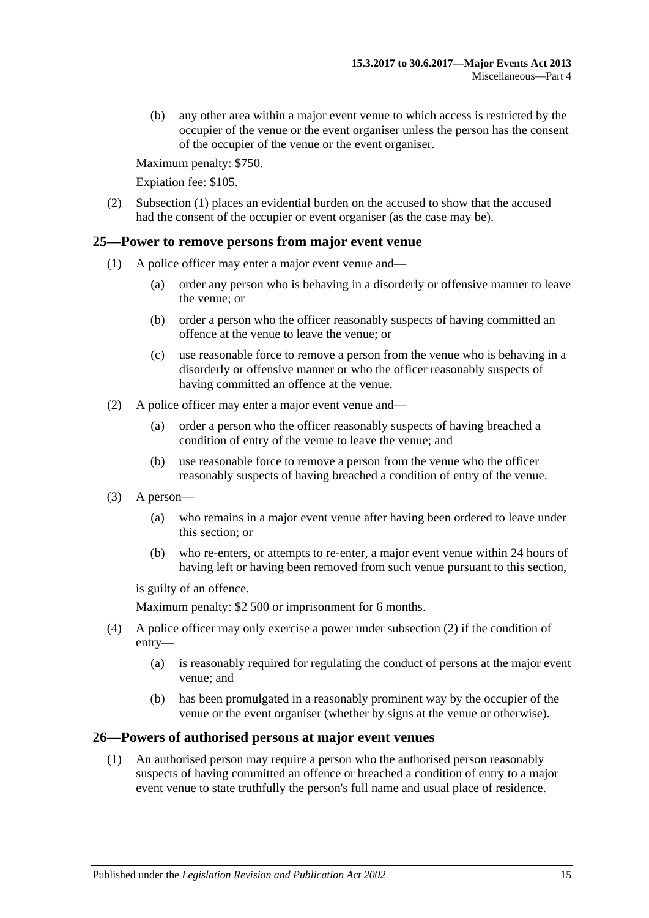(b) any other area within a major event venue to which access is restricted by the occupier of the venue or the event organiser unless the person has the consent of the occupier of the venue or the event organiser.

Maximum penalty: \$750.

Expiation fee: \$105.

(2) [Subsection \(1\)](#page-13-8) places an evidential burden on the accused to show that the accused had the consent of the occupier or event organiser (as the case may be).

#### <span id="page-14-0"></span>**25—Power to remove persons from major event venue**

- (1) A police officer may enter a major event venue and—
	- (a) order any person who is behaving in a disorderly or offensive manner to leave the venue; or
	- (b) order a person who the officer reasonably suspects of having committed an offence at the venue to leave the venue; or
	- (c) use reasonable force to remove a person from the venue who is behaving in a disorderly or offensive manner or who the officer reasonably suspects of having committed an offence at the venue.
- <span id="page-14-2"></span>(2) A police officer may enter a major event venue and—
	- (a) order a person who the officer reasonably suspects of having breached a condition of entry of the venue to leave the venue; and
	- (b) use reasonable force to remove a person from the venue who the officer reasonably suspects of having breached a condition of entry of the venue.
- (3) A person—
	- (a) who remains in a major event venue after having been ordered to leave under this section; or
	- (b) who re-enters, or attempts to re-enter, a major event venue within 24 hours of having left or having been removed from such venue pursuant to this section,

is guilty of an offence.

Maximum penalty: \$2 500 or imprisonment for 6 months.

- (4) A police officer may only exercise a power under [subsection](#page-14-2) (2) if the condition of entry—
	- (a) is reasonably required for regulating the conduct of persons at the major event venue; and
	- (b) has been promulgated in a reasonably prominent way by the occupier of the venue or the event organiser (whether by signs at the venue or otherwise).

#### <span id="page-14-1"></span>**26—Powers of authorised persons at major event venues**

(1) An authorised person may require a person who the authorised person reasonably suspects of having committed an offence or breached a condition of entry to a major event venue to state truthfully the person's full name and usual place of residence.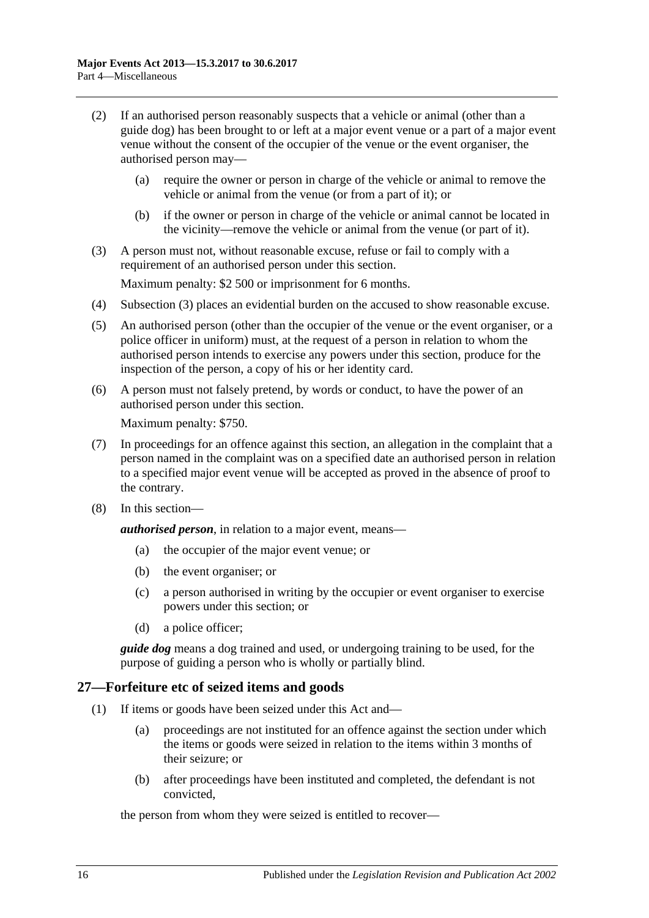- (2) If an authorised person reasonably suspects that a vehicle or animal (other than a guide dog) has been brought to or left at a major event venue or a part of a major event venue without the consent of the occupier of the venue or the event organiser, the authorised person may—
	- (a) require the owner or person in charge of the vehicle or animal to remove the vehicle or animal from the venue (or from a part of it); or
	- (b) if the owner or person in charge of the vehicle or animal cannot be located in the vicinity—remove the vehicle or animal from the venue (or part of it).
- <span id="page-15-1"></span>(3) A person must not, without reasonable excuse, refuse or fail to comply with a requirement of an authorised person under this section.

Maximum penalty: \$2 500 or imprisonment for 6 months.

- (4) [Subsection \(3\)](#page-15-1) places an evidential burden on the accused to show reasonable excuse.
- (5) An authorised person (other than the occupier of the venue or the event organiser, or a police officer in uniform) must, at the request of a person in relation to whom the authorised person intends to exercise any powers under this section, produce for the inspection of the person, a copy of his or her identity card.
- (6) A person must not falsely pretend, by words or conduct, to have the power of an authorised person under this section.

Maximum penalty: \$750.

- (7) In proceedings for an offence against this section, an allegation in the complaint that a person named in the complaint was on a specified date an authorised person in relation to a specified major event venue will be accepted as proved in the absence of proof to the contrary.
- (8) In this section—

*authorised person*, in relation to a major event, means—

- (a) the occupier of the major event venue; or
- (b) the event organiser; or
- (c) a person authorised in writing by the occupier or event organiser to exercise powers under this section; or
- (d) a police officer;

*guide dog* means a dog trained and used, or undergoing training to be used, for the purpose of guiding a person who is wholly or partially blind.

## <span id="page-15-2"></span><span id="page-15-0"></span>**27—Forfeiture etc of seized items and goods**

- (1) If items or goods have been seized under this Act and—
	- (a) proceedings are not instituted for an offence against the section under which the items or goods were seized in relation to the items within 3 months of their seizure; or
	- (b) after proceedings have been instituted and completed, the defendant is not convicted,

the person from whom they were seized is entitled to recover—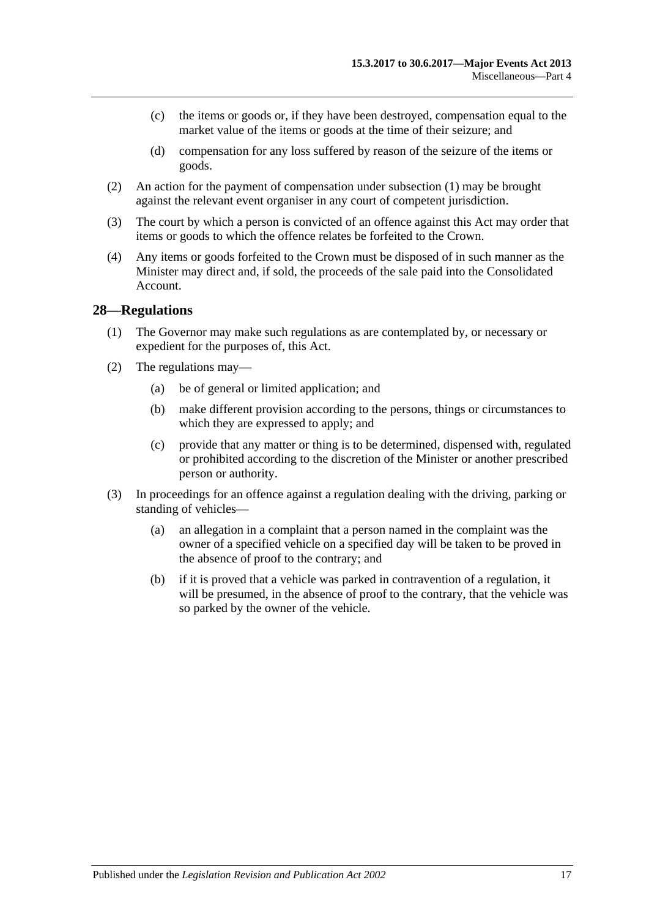- (c) the items or goods or, if they have been destroyed, compensation equal to the market value of the items or goods at the time of their seizure; and
- (d) compensation for any loss suffered by reason of the seizure of the items or goods.
- (2) An action for the payment of compensation under [subsection](#page-15-2) (1) may be brought against the relevant event organiser in any court of competent jurisdiction.
- (3) The court by which a person is convicted of an offence against this Act may order that items or goods to which the offence relates be forfeited to the Crown.
- (4) Any items or goods forfeited to the Crown must be disposed of in such manner as the Minister may direct and, if sold, the proceeds of the sale paid into the Consolidated Account.

#### <span id="page-16-0"></span>**28—Regulations**

- (1) The Governor may make such regulations as are contemplated by, or necessary or expedient for the purposes of, this Act.
- (2) The regulations may—
	- (a) be of general or limited application; and
	- (b) make different provision according to the persons, things or circumstances to which they are expressed to apply; and
	- (c) provide that any matter or thing is to be determined, dispensed with, regulated or prohibited according to the discretion of the Minister or another prescribed person or authority.
- (3) In proceedings for an offence against a regulation dealing with the driving, parking or standing of vehicles—
	- (a) an allegation in a complaint that a person named in the complaint was the owner of a specified vehicle on a specified day will be taken to be proved in the absence of proof to the contrary; and
	- (b) if it is proved that a vehicle was parked in contravention of a regulation, it will be presumed, in the absence of proof to the contrary, that the vehicle was so parked by the owner of the vehicle.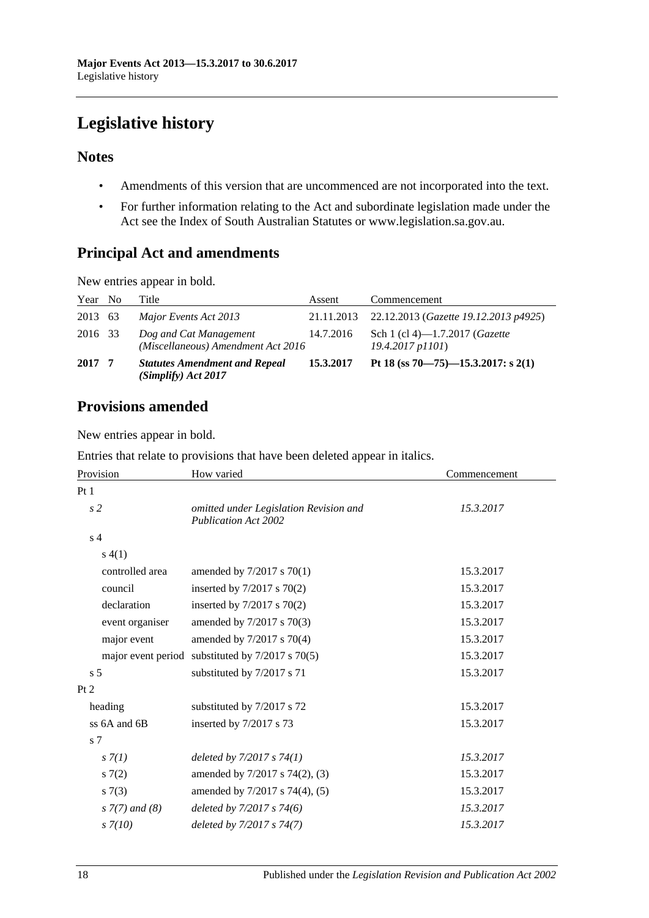## <span id="page-17-0"></span>**Legislative history**

## **Notes**

- Amendments of this version that are uncommenced are not incorporated into the text.
- For further information relating to the Act and subordinate legislation made under the Act see the Index of South Australian Statutes or www.legislation.sa.gov.au.

## **Principal Act and amendments**

New entries appear in bold.

| Year No | Title                                                        | Assent     | Commencement                                                     |
|---------|--------------------------------------------------------------|------------|------------------------------------------------------------------|
| 2013 63 | Major Events Act 2013                                        | 21.11.2013 | 22.12.2013 (Gazette 19.12.2013 p4925)                            |
| 2016 33 | Dog and Cat Management<br>(Miscellaneous) Amendment Act 2016 | 14.7.2016  | Sch 1 (cl 4)—1.7.2017 ( <i>Gazette</i><br>$19.4.2017$ p $1101$ ) |
| 2017 7  | <b>Statutes Amendment and Repeal</b><br>(Simplify) Act 2017  | 15.3.2017  | Pt 18 (ss 70–75)–15.3.2017: s 2(1)                               |

## **Provisions amended**

New entries appear in bold.

| Entries that relate to provisions that have been deleted appear in italics. |  |  |
|-----------------------------------------------------------------------------|--|--|
|-----------------------------------------------------------------------------|--|--|

| Provision             | How varied                                                            | Commencement |  |
|-----------------------|-----------------------------------------------------------------------|--------------|--|
| Pt1                   |                                                                       |              |  |
| s <sub>2</sub>        | omitted under Legislation Revision and<br><b>Publication Act 2002</b> | 15.3.2017    |  |
| s <sub>4</sub>        |                                                                       |              |  |
| s(4(1))               |                                                                       |              |  |
| controlled area       | amended by $7/2017$ s $70(1)$                                         | 15.3.2017    |  |
| council               | inserted by $7/2017$ s $70(2)$                                        | 15.3.2017    |  |
| declaration           | inserted by $7/2017$ s $70(2)$                                        | 15.3.2017    |  |
| event organiser       | amended by 7/2017 s 70(3)                                             | 15.3.2017    |  |
| major event           | amended by 7/2017 s 70(4)                                             | 15.3.2017    |  |
|                       | major event period substituted by $7/2017$ s $70(5)$                  | 15.3.2017    |  |
| s <sub>5</sub>        | substituted by 7/2017 s 71                                            | 15.3.2017    |  |
| Pt 2                  |                                                                       |              |  |
| heading               | substituted by 7/2017 s 72                                            | 15.3.2017    |  |
| ss 6A and 6B          | inserted by 7/2017 s 73                                               | 15.3.2017    |  |
| s <sub>7</sub>        |                                                                       |              |  |
| s(7/1)                | deleted by $7/2017 s 74(1)$                                           | 15.3.2017    |  |
| s(7(2)                | amended by 7/2017 s 74(2), (3)                                        | 15.3.2017    |  |
| s(7(3))               | amended by 7/2017 s 74(4), (5)                                        | 15.3.2017    |  |
| $s \, 7(7)$ and $(8)$ | deleted by $7/2017 s 74(6)$                                           | 15.3.2017    |  |
| $s \, 7(10)$          | deleted by 7/2017 s 74(7)                                             | 15.3.2017    |  |